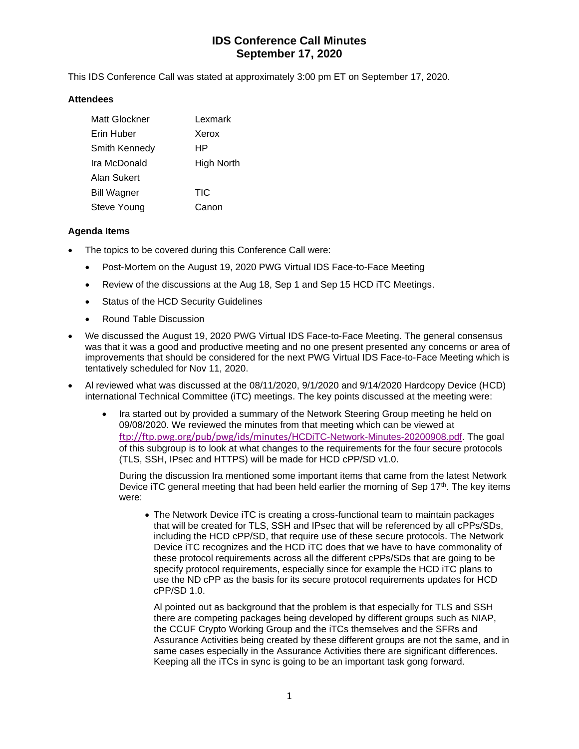# **IDS Conference Call Minutes September 17, 2020**

This IDS Conference Call was stated at approximately 3:00 pm ET on September 17, 2020.

#### **Attendees**

| Matt Glockner      | Lexmark           |
|--------------------|-------------------|
| Erin Huber         | Xerox             |
| Smith Kennedy      | ΗP                |
| Ira McDonald       | <b>High North</b> |
| Alan Sukert        |                   |
| <b>Bill Wagner</b> | TIC               |
| Steve Young        | Canon             |

#### **Agenda Items**

- The topics to be covered during this Conference Call were:
	- Post-Mortem on the August 19, 2020 PWG Virtual IDS Face-to-Face Meeting
	- Review of the discussions at the Aug 18, Sep 1 and Sep 15 HCD iTC Meetings.
	- Status of the HCD Security Guidelines
	- Round Table Discussion
- We discussed the August 19, 2020 PWG Virtual IDS Face-to-Face Meeting. The general consensus was that it was a good and productive meeting and no one present presented any concerns or area of improvements that should be considered for the next PWG Virtual IDS Face-to-Face Meeting which is tentatively scheduled for Nov 11, 2020.
- Al reviewed what was discussed at the 08/11/2020, 9/1/2020 and 9/14/2020 Hardcopy Device (HCD) international Technical Committee (iTC) meetings. The key points discussed at the meeting were:
	- Ira started out by provided a summary of the Network Steering Group meeting he held on 09/08/2020. We reviewed the minutes from that meeting which can be viewed at [ftp://ftp.pwg.org/pub/pwg/ids/minutes/](ftp://ftp.pwg.org/pub/pwg/ids/minutes/HCDiTC-Network-Minutes-20200908.pdf)HCDiTC-Network-Minutes[-20200908.pdf.](ftp://ftp.pwg.org/pub/pwg/ids/minutes/HCDiTC-Network-Minutes-20200908.pdf) The goal of this subgroup is to look at what changes to the requirements for the four secure protocols (TLS, SSH, IPsec and HTTPS) will be made for HCD cPP/SD v1.0.

During the discussion Ira mentioned some important items that came from the latest Network Device iTC general meeting that had been held earlier the morning of Sep 17<sup>th</sup>. The key items were:

• The Network Device iTC is creating a cross-functional team to maintain packages that will be created for TLS, SSH and IPsec that will be referenced by all cPPs/SDs, including the HCD cPP/SD, that require use of these secure protocols. The Network Device iTC recognizes and the HCD iTC does that we have to have commonality of these protocol requirements across all the different cPPs/SDs that are going to be specify protocol requirements, especially since for example the HCD iTC plans to use the ND cPP as the basis for its secure protocol requirements updates for HCD cPP/SD 1.0.

Al pointed out as background that the problem is that especially for TLS and SSH there are competing packages being developed by different groups such as NIAP, the CCUF Crypto Working Group and the iTCs themselves and the SFRs and Assurance Activities being created by these different groups are not the same, and in same cases especially in the Assurance Activities there are significant differences. Keeping all the iTCs in sync is going to be an important task gong forward.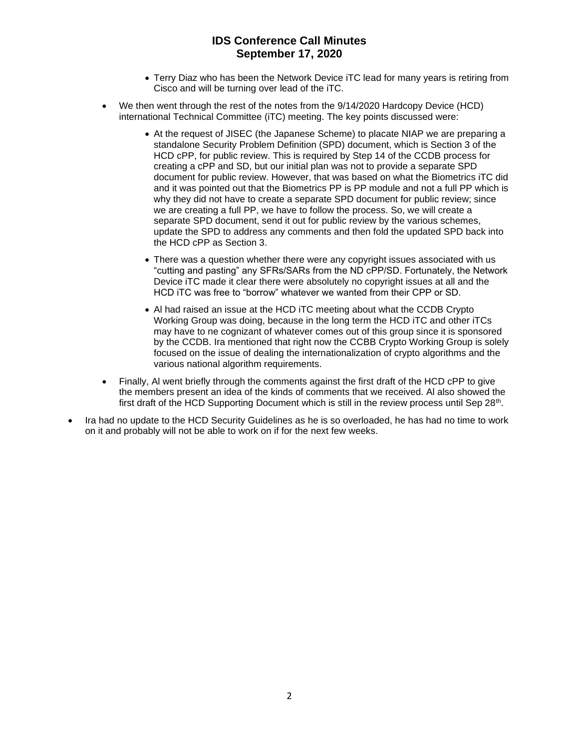## **IDS Conference Call Minutes September 17, 2020**

- Terry Diaz who has been the Network Device iTC lead for many years is retiring from Cisco and will be turning over lead of the iTC.
- We then went through the rest of the notes from the 9/14/2020 Hardcopy Device (HCD) international Technical Committee (iTC) meeting. The key points discussed were:
	- At the request of JISEC (the Japanese Scheme) to placate NIAP we are preparing a standalone Security Problem Definition (SPD) document, which is Section 3 of the HCD cPP, for public review. This is required by Step 14 of the CCDB process for creating a cPP and SD, but our initial plan was not to provide a separate SPD document for public review. However, that was based on what the Biometrics iTC did and it was pointed out that the Biometrics PP is PP module and not a full PP which is why they did not have to create a separate SPD document for public review; since we are creating a full PP, we have to follow the process. So, we will create a separate SPD document, send it out for public review by the various schemes, update the SPD to address any comments and then fold the updated SPD back into the HCD cPP as Section 3.
	- There was a question whether there were any copyright issues associated with us "cutting and pasting" any SFRs/SARs from the ND cPP/SD. Fortunately, the Network Device iTC made it clear there were absolutely no copyright issues at all and the HCD iTC was free to "borrow" whatever we wanted from their CPP or SD.
	- Al had raised an issue at the HCD iTC meeting about what the CCDB Crypto Working Group was doing, because in the long term the HCD iTC and other iTCs may have to ne cognizant of whatever comes out of this group since it is sponsored by the CCDB. Ira mentioned that right now the CCBB Crypto Working Group is solely focused on the issue of dealing the internationalization of crypto algorithms and the various national algorithm requirements.
- Finally, AI went briefly through the comments against the first draft of the HCD cPP to give the members present an idea of the kinds of comments that we received. Al also showed the first draft of the HCD Supporting Document which is still in the review process until Sep 28<sup>th</sup>.
- Ira had no update to the HCD Security Guidelines as he is so overloaded, he has had no time to work on it and probably will not be able to work on if for the next few weeks.